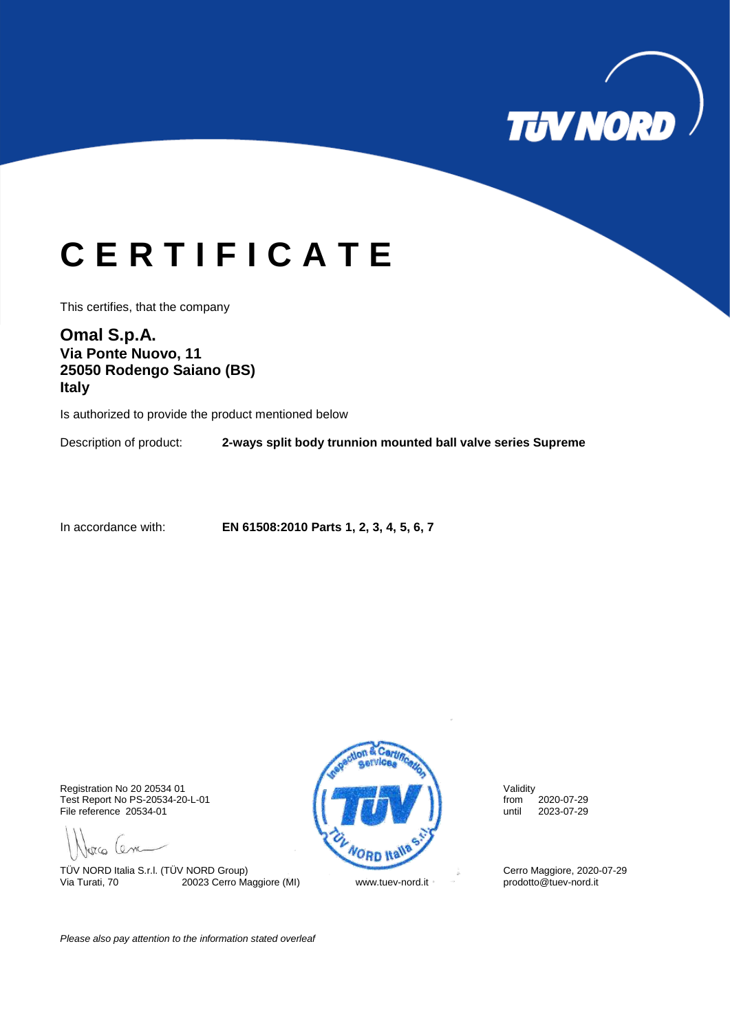

## **C E R T I F I C A T E**

This certifies, that the company

**Omal S.p.A. Via Ponte Nuovo, 11 25050 Rodengo Saiano (BS) Italy**

Is authorized to provide the product mentioned below

Description of product: **2-ways split body trunnion mounted ball valve series Supreme**

In accordance with: **EN 61508:2010 Parts 1, 2, 3, 4, 5, 6, 7**

Test Report No PS-20534-20-L-01 from 2020-07-29<br>
File reference 20534-01 until 2023-07-29 File reference 20534-01

gra lena

TÜV NORD Italia S.r.l. (TÜV NORD Group)<br>
Via Turati, 70 20023 Cerro Maggiore (MI) Www.tuev-nord.it comprehensive prodotto@tuev-nord.it Victoria Turati, 70 20023 Cerro Maggiore (MI) www.tuev-nord.it



*Please also pay attention to the information stated overleaf*